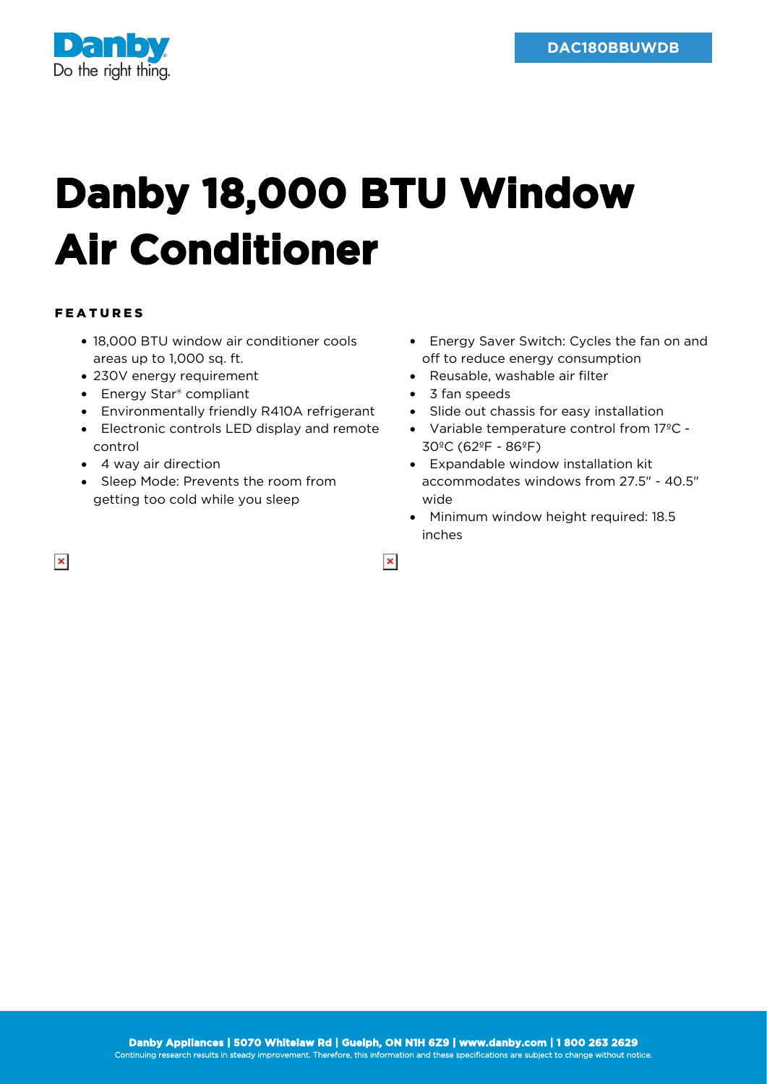

## **Danby 18,000 BTU Window Air Conditioner**

## FEATURES

- 18,000 BTU window air conditioner cools areas up to 1,000 sq. ft.
- 230V energy requirement
- Energy Star<sup>®</sup> compliant
- Environmentally friendly R410A refrigerant
- Electronic controls LED display and remote control
- 4 way air direction
- Sleep Mode: Prevents the room from getting too cold while you sleep
- Energy Saver Switch: Cycles the fan on and off to reduce energy consumption
- Reusable, washable air filter
- 3 fan speeds

 $\pmb{\times}$ 

- Slide out chassis for easy installation
- Variable temperature control from 17ºC 30ºC (62ºF - 86ºF)
- Expandable window installation kit accommodates windows from 27.5" - 40.5" wide
- Minimum window height required: 18.5  $\bullet$ inches

 $\pmb{\times}$